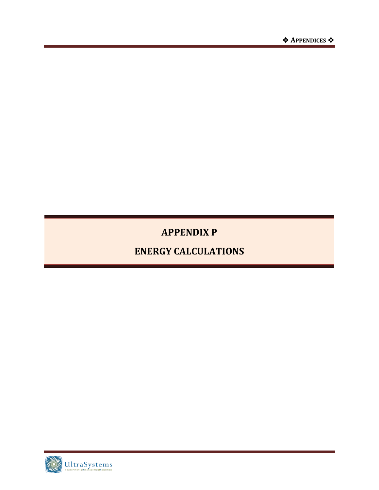# **APPENDIX P**

# **ENERGY CALCULATIONS**

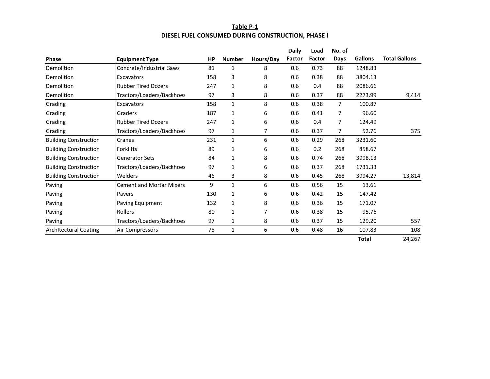#### **Table P‐1 DIESEL FUEL CONSUMED DURING CONSTRUCTION, PHASE I**

|                              |                                 |           |               |           | <b>Daily</b> | Load   | No. of         |                |                      |
|------------------------------|---------------------------------|-----------|---------------|-----------|--------------|--------|----------------|----------------|----------------------|
| <b>Phase</b>                 | <b>Equipment Type</b>           | <b>HP</b> | <b>Number</b> | Hours/Day | Factor       | Factor | Days           | <b>Gallons</b> | <b>Total Gallons</b> |
| Demolition                   | Concrete/Industrial Saws        | 81        | 1             | 8         | 0.6          | 0.73   | 88             | 1248.83        |                      |
| Demolition                   | <b>Excavators</b>               | 158       | 3             | 8         | 0.6          | 0.38   | 88             | 3804.13        |                      |
| Demolition                   | <b>Rubber Tired Dozers</b>      | 247       | $\mathbf{1}$  | 8         | 0.6          | 0.4    | 88             | 2086.66        |                      |
| Demolition                   | Tractors/Loaders/Backhoes       | 97        | 3             | 8         | 0.6          | 0.37   | 88             | 2273.99        | 9,414                |
| Grading                      | Excavators                      | 158       | 1             | 8         | 0.6          | 0.38   | 7              | 100.87         |                      |
| Grading                      | Graders                         | 187       | 1             | 6         | 0.6          | 0.41   | $\overline{7}$ | 96.60          |                      |
| Grading                      | <b>Rubber Tired Dozers</b>      | 247       | 1             | 6         | 0.6          | 0.4    | 7              | 124.49         |                      |
| Grading                      | Tractors/Loaders/Backhoes       | 97        | 1             | 7         | 0.6          | 0.37   | 7              | 52.76          | 375                  |
| <b>Building Construction</b> | Cranes                          | 231       | $\mathbf{1}$  | 6         | 0.6          | 0.29   | 268            | 3231.60        |                      |
| <b>Building Construction</b> | Forklifts                       | 89        | $\mathbf{1}$  | 6         | 0.6          | 0.2    | 268            | 858.67         |                      |
| <b>Building Construction</b> | <b>Generator Sets</b>           | 84        | 1             | 8         | 0.6          | 0.74   | 268            | 3998.13        |                      |
| <b>Building Construction</b> | Tractors/Loaders/Backhoes       | 97        | $\mathbf{1}$  | 6         | 0.6          | 0.37   | 268            | 1731.33        |                      |
| <b>Building Construction</b> | Welders                         | 46        | 3             | 8         | 0.6          | 0.45   | 268            | 3994.27        | 13,814               |
| Paving                       | <b>Cement and Mortar Mixers</b> | 9         | 1             | 6         | 0.6          | 0.56   | 15             | 13.61          |                      |
| Paving                       | Pavers                          | 130       | 1             | 6         | 0.6          | 0.42   | 15             | 147.42         |                      |
| Paving                       | Paving Equipment                | 132       | $\mathbf{1}$  | 8         | 0.6          | 0.36   | 15             | 171.07         |                      |
| Paving                       | <b>Rollers</b>                  | 80        | 1             | 7         | 0.6          | 0.38   | 15             | 95.76          |                      |
| Paving                       | Tractors/Loaders/Backhoes       | 97        | 1             | 8         | 0.6          | 0.37   | 15             | 129.20         | 557                  |
| <b>Architectural Coating</b> | Air Compressors                 | 78        | $\mathbf 1$   | 6         | 0.6          | 0.48   | 16             | 107.83         | 108                  |
|                              |                                 |           |               |           |              |        |                | <b>Total</b>   | 24,267               |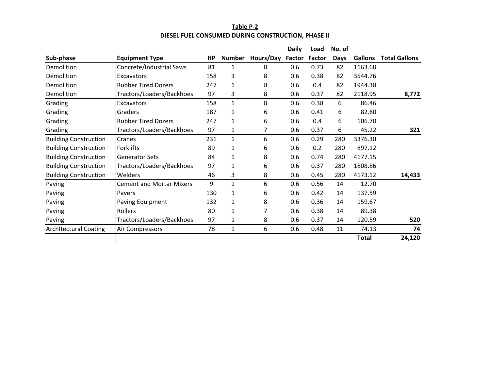### **Table P‐2 DIESEL FUEL CONSUMED DURING CONSTRUCTION, PHASE II**

|                              |                                 |           |               |           | <b>Daily</b>  | Load   | No. of      |                |                      |
|------------------------------|---------------------------------|-----------|---------------|-----------|---------------|--------|-------------|----------------|----------------------|
| Sub-phase                    | <b>Equipment Type</b>           | <b>HP</b> | <b>Number</b> | Hours/Day | <b>Factor</b> | Factor | <b>Days</b> | <b>Gallons</b> | <b>Total Gallons</b> |
| Demolition                   | Concrete/Industrial Saws        | 81        | 1             | 8         | 0.6           | 0.73   | 82          | 1163.68        |                      |
| Demolition                   | Excavators                      | 158       | 3             | 8         | 0.6           | 0.38   | 82          | 3544.76        |                      |
| Demolition                   | <b>Rubber Tired Dozers</b>      | 247       | 1             | 8         | 0.6           | 0.4    | 82          | 1944.38        |                      |
| Demolition                   | Tractors/Loaders/Backhoes       | 97        | 3             | 8         | 0.6           | 0.37   | 82          | 2118.95        | 8,772                |
| Grading                      | Excavators                      | 158       | 1             | 8         | 0.6           | 0.38   | 6           | 86.46          |                      |
| Grading                      | Graders                         | 187       | 1             | 6         | 0.6           | 0.41   | 6           | 82.80          |                      |
| Grading                      | <b>Rubber Tired Dozers</b>      | 247       | $\mathbf{1}$  | 6         | 0.6           | 0.4    | 6           | 106.70         |                      |
| Grading                      | Tractors/Loaders/Backhoes       | 97        | $\mathbf{1}$  | 7         | 0.6           | 0.37   | 6           | 45.22          | 321                  |
| <b>Building Construction</b> | Cranes                          | 231       | 1             | 6         | 0.6           | 0.29   | 280         | 3376.30        |                      |
| <b>Building Construction</b> | Forklifts                       | 89        | $\mathbf{1}$  | 6         | 0.6           | 0.2    | 280         | 897.12         |                      |
| <b>Building Construction</b> | <b>Generator Sets</b>           | 84        | 1             | 8         | 0.6           | 0.74   | 280         | 4177.15        |                      |
| <b>Building Construction</b> | Tractors/Loaders/Backhoes       | 97        | 1             | 6         | 0.6           | 0.37   | 280         | 1808.86        |                      |
| <b>Building Construction</b> | Welders                         | 46        | 3             | 8         | 0.6           | 0.45   | 280         | 4173.12        | 14,433               |
| Paving                       | <b>Cement and Mortar Mixers</b> | 9         | 1             | 6         | 0.6           | 0.56   | 14          | 12.70          |                      |
| Paving                       | Pavers                          | 130       | 1             | 6         | 0.6           | 0.42   | 14          | 137.59         |                      |
| Paving                       | Paving Equipment                | 132       | 1             | 8         | 0.6           | 0.36   | 14          | 159.67         |                      |
| Paving                       | Rollers                         | 80        | 1             | 7         | 0.6           | 0.38   | 14          | 89.38          |                      |
| Paving                       | Tractors/Loaders/Backhoes       | 97        | 1             | 8         | 0.6           | 0.37   | 14          | 120.59         | 520                  |
| <b>Architectural Coating</b> | Air Compressors                 | 78        | $\mathbf{1}$  | 6         | 0.6           | 0.48   | 11          | 74.13          | 74                   |
|                              |                                 |           |               |           |               |        |             | <b>Total</b>   | 24,120               |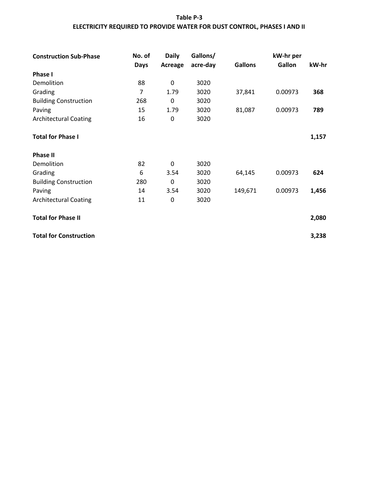# **Table P‐3 ELECTRICITY REQUIRED TO PROVIDE WATER FOR DUST CONTROL, PHASES I AND II**

| <b>Construction Sub-Phase</b> | No. of | <b>Daily</b> | Gallons/ |                | kW-hr per |       |
|-------------------------------|--------|--------------|----------|----------------|-----------|-------|
|                               | Days   | Acreage      | acre-day | <b>Gallons</b> | Gallon    | kW-hr |
| <b>Phase I</b>                |        |              |          |                |           |       |
| Demolition                    | 88     | $\mathbf 0$  | 3020     |                |           |       |
| Grading                       | 7      | 1.79         | 3020     | 37,841         | 0.00973   | 368   |
| <b>Building Construction</b>  | 268    | $\mathbf 0$  | 3020     |                |           |       |
| Paving                        | 15     | 1.79         | 3020     | 81,087         | 0.00973   | 789   |
| <b>Architectural Coating</b>  | 16     | $\mathbf 0$  | 3020     |                |           |       |
| <b>Total for Phase I</b>      |        |              |          |                |           | 1,157 |
| <b>Phase II</b>               |        |              |          |                |           |       |
| Demolition                    | 82     | $\mathbf 0$  | 3020     |                |           |       |
| Grading                       | 6      | 3.54         | 3020     | 64,145         | 0.00973   | 624   |
| <b>Building Construction</b>  | 280    | $\mathbf 0$  | 3020     |                |           |       |
| Paving                        | 14     | 3.54         | 3020     | 149,671        | 0.00973   | 1,456 |
| <b>Architectural Coating</b>  | 11     | $\mathbf 0$  | 3020     |                |           |       |
| <b>Total for Phase II</b>     |        |              |          |                |           | 2,080 |
| <b>Total for Construction</b> |        |              |          |                |           | 3,238 |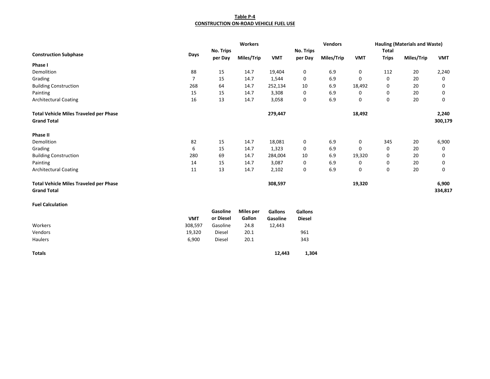#### **Table P‐4 CONSTRUCTION ON‐ROAD VEHICLE FUEL USE**

|                                               |            |           | Workers          |            |               | <b>Vendors</b> |            |              | <b>Hauling (Materials and Waste)</b> |            |
|-----------------------------------------------|------------|-----------|------------------|------------|---------------|----------------|------------|--------------|--------------------------------------|------------|
|                                               |            | No. Trips |                  |            | No. Trips     |                |            | <b>Total</b> |                                      |            |
| <b>Construction Subphase</b>                  | Days       | per Day   | Miles/Trip       | <b>VMT</b> | per Day       | Miles/Trip     | <b>VMT</b> | <b>Trips</b> | Miles/Trip                           | <b>VMT</b> |
| Phase I                                       |            |           |                  |            |               |                |            |              |                                      |            |
| Demolition                                    | 88         | 15        | 14.7             | 19,404     | 0             | 6.9            | 0          | 112          | 20                                   | 2,240      |
| Grading                                       | 7          | 15        | 14.7             | 1,544      | 0             | 6.9            | 0          | $\mathbf 0$  | 20                                   | 0          |
| <b>Building Construction</b>                  | 268        | 64        | 14.7             | 252,134    | 10            | 6.9            | 18,492     | 0            | 20                                   | 0          |
| Painting                                      | 15         | 15        | 14.7             | 3,308      | 0             | 6.9            | 0          | 0            | 20                                   | 0          |
| <b>Architectural Coating</b>                  | 16         | 13        | 14.7             | 3,058      | 0             | 6.9            | 0          | $\mathbf 0$  | 20                                   | 0          |
| <b>Total Vehicle Miles Traveled per Phase</b> |            |           |                  | 279,447    |               |                | 18,492     |              |                                      | 2,240      |
| <b>Grand Total</b>                            |            |           |                  |            |               |                |            |              |                                      | 300,179    |
| Phase II                                      |            |           |                  |            |               |                |            |              |                                      |            |
| Demolition                                    | 82         | 15        | 14.7             | 18,081     | 0             | 6.9            | 0          | 345          | 20                                   | 6,900      |
| Grading                                       | 6          | 15        | 14.7             | 1,323      | 0             | 6.9            | 0          | 0            | 20                                   | 0          |
| <b>Building Construction</b>                  | 280        | 69        | 14.7             | 284,004    | 10            | 6.9            | 19,320     | 0            | 20                                   | 0          |
| Painting                                      | 14         | 15        | 14.7             | 3,087      | 0             | 6.9            | 0          | 0            | 20                                   | 0          |
| <b>Architectural Coating</b>                  | 11         | 13        | 14.7             | 2,102      | 0             | 6.9            | 0          | 0            | 20                                   | 0          |
| <b>Total Vehicle Miles Traveled per Phase</b> |            |           |                  | 308,597    |               |                | 19,320     |              |                                      | 6,900      |
| <b>Grand Total</b>                            |            |           |                  |            |               |                |            |              |                                      | 334,817    |
| <b>Fuel Calculation</b>                       |            |           |                  |            |               |                |            |              |                                      |            |
|                                               |            | Gasoline  | <b>Miles per</b> | Gallons    | Gallons       |                |            |              |                                      |            |
|                                               | <b>VMT</b> | or Diesel | Gallon           | Gasoline   | <b>Diesel</b> |                |            |              |                                      |            |
| Workers                                       | 308,597    | Gasoline  | 24.8             | 12,443     |               |                |            |              |                                      |            |
| Vendors                                       | 19,320     | Diesel    | 20.1             |            | 961           |                |            |              |                                      |            |
| Haulers                                       | 6,900      | Diesel    | 20.1             |            | 343           |                |            |              |                                      |            |
| <b>Totals</b>                                 |            |           |                  | 12,443     | 1,304         |                |            |              |                                      |            |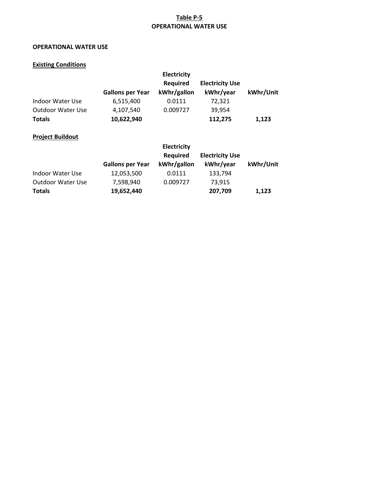# **Table P‐5 OPERATIONAL WATER USE**

# **OPERATIONAL WATER USE**

#### **Existing Conditions**

|                         |                         | <b>Electricity</b><br><b>Required</b> | <b>Electricity Use</b>              |           |
|-------------------------|-------------------------|---------------------------------------|-------------------------------------|-----------|
|                         | <b>Gallons per Year</b> | kWhr/gallon                           | kWhr/year                           | kWhr/Unit |
| Indoor Water Use        | 6,515,400               | 0.0111                                | 72,321                              |           |
| Outdoor Water Use       | 4,107,540               | 0.009727                              | 39,954                              |           |
| <b>Totals</b>           | 10,622,940              |                                       | 112,275                             | 1,123     |
| <b>Project Buildout</b> |                         |                                       |                                     |           |
|                         |                         | <b>Electricity</b>                    |                                     |           |
|                         | <b>Gallons per Year</b> | <b>Required</b><br>kWhr/gallon        | <b>Electricity Use</b><br>kWhr/year | kWhr/Unit |

|                   | <b>PANDID PCI ICAI</b> | 1.1111177411011 | *******/ YWW | . <i>.</i> |
|-------------------|------------------------|-----------------|--------------|------------|
| Indoor Water Use  | 12,053,500             | 0.0111          | 133.794      |            |
| Outdoor Water Use | 7,598,940              | 0.009727        | 73.915       |            |
| Totals            | 19,652,440             |                 | 207.709      | 1.123      |
|                   |                        |                 |              |            |